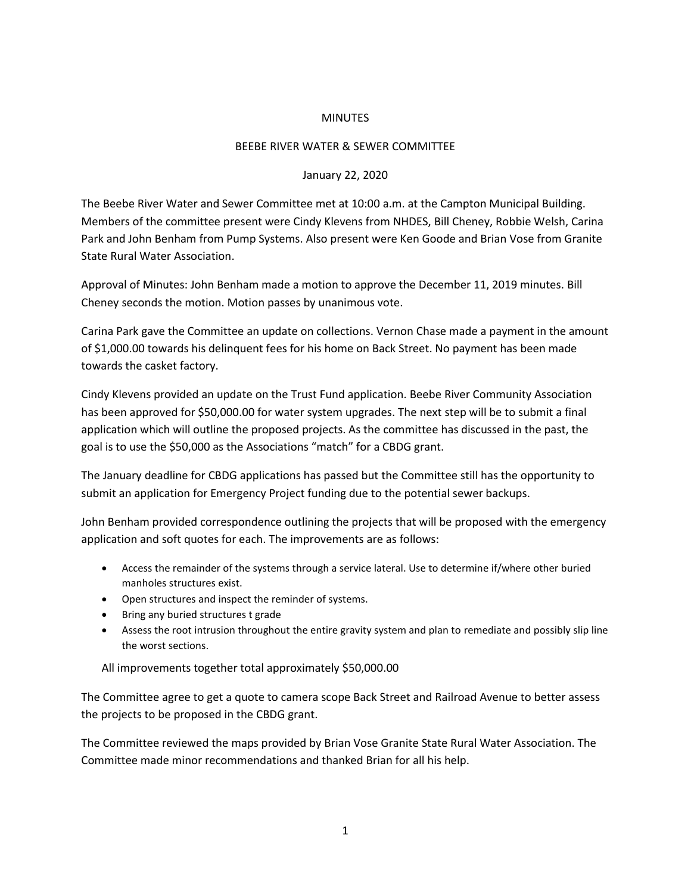## **MINUTES**

## BEEBE RIVER WATER & SEWER COMMITTEE

## January 22, 2020

The Beebe River Water and Sewer Committee met at 10:00 a.m. at the Campton Municipal Building. Members of the committee present were Cindy Klevens from NHDES, Bill Cheney, Robbie Welsh, Carina Park and John Benham from Pump Systems. Also present were Ken Goode and Brian Vose from Granite State Rural Water Association.

Approval of Minutes: John Benham made a motion to approve the December 11, 2019 minutes. Bill Cheney seconds the motion. Motion passes by unanimous vote.

Carina Park gave the Committee an update on collections. Vernon Chase made a payment in the amount of \$1,000.00 towards his delinquent fees for his home on Back Street. No payment has been made towards the casket factory.

Cindy Klevens provided an update on the Trust Fund application. Beebe River Community Association has been approved for \$50,000.00 for water system upgrades. The next step will be to submit a final application which will outline the proposed projects. As the committee has discussed in the past, the goal is to use the \$50,000 as the Associations "match" for a CBDG grant.

The January deadline for CBDG applications has passed but the Committee still has the opportunity to submit an application for Emergency Project funding due to the potential sewer backups.

John Benham provided correspondence outlining the projects that will be proposed with the emergency application and soft quotes for each. The improvements are as follows:

- Access the remainder of the systems through a service lateral. Use to determine if/where other buried manholes structures exist.
- Open structures and inspect the reminder of systems.
- Bring any buried structures t grade
- Assess the root intrusion throughout the entire gravity system and plan to remediate and possibly slip line the worst sections.

All improvements together total approximately \$50,000.00

The Committee agree to get a quote to camera scope Back Street and Railroad Avenue to better assess the projects to be proposed in the CBDG grant.

The Committee reviewed the maps provided by Brian Vose Granite State Rural Water Association. The Committee made minor recommendations and thanked Brian for all his help.